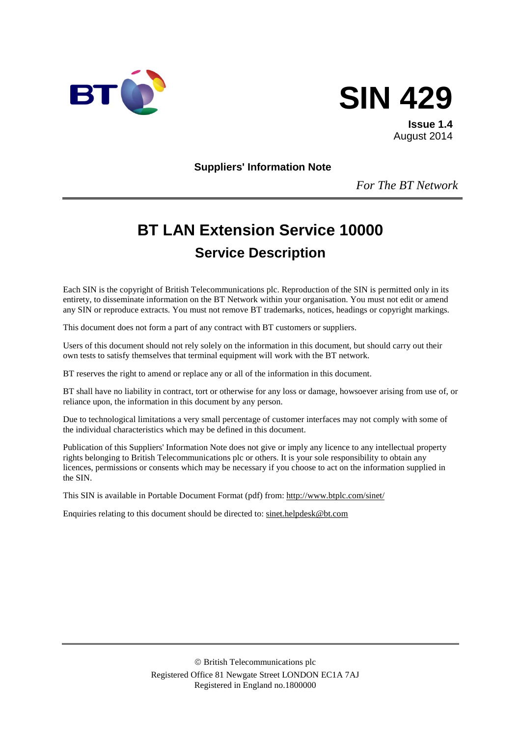



**Issue 1.4** August 2014

**Suppliers' Information Note**

*For The BT Network*

# **BT LAN Extension Service 10000 Service Description**

Each SIN is the copyright of British Telecommunications plc. Reproduction of the SIN is permitted only in its entirety, to disseminate information on the BT Network within your organisation. You must not edit or amend any SIN or reproduce extracts. You must not remove BT trademarks, notices, headings or copyright markings.

This document does not form a part of any contract with BT customers or suppliers.

Users of this document should not rely solely on the information in this document, but should carry out their own tests to satisfy themselves that terminal equipment will work with the BT network.

BT reserves the right to amend or replace any or all of the information in this document.

BT shall have no liability in contract, tort or otherwise for any loss or damage, howsoever arising from use of, or reliance upon, the information in this document by any person.

Due to technological limitations a very small percentage of customer interfaces may not comply with some of the individual characteristics which may be defined in this document.

Publication of this Suppliers' Information Note does not give or imply any licence to any intellectual property rights belonging to British Telecommunications plc or others. It is your sole responsibility to obtain any licences, permissions or consents which may be necessary if you choose to act on the information supplied in the SIN.

This SIN is available in Portable Document Format (pdf) from:<http://www.btplc.com/sinet/>

Enquiries relating to this document should be directed to: [sinet.helpdesk@bt.com](mailto:sinet.helpdesk@bt.com)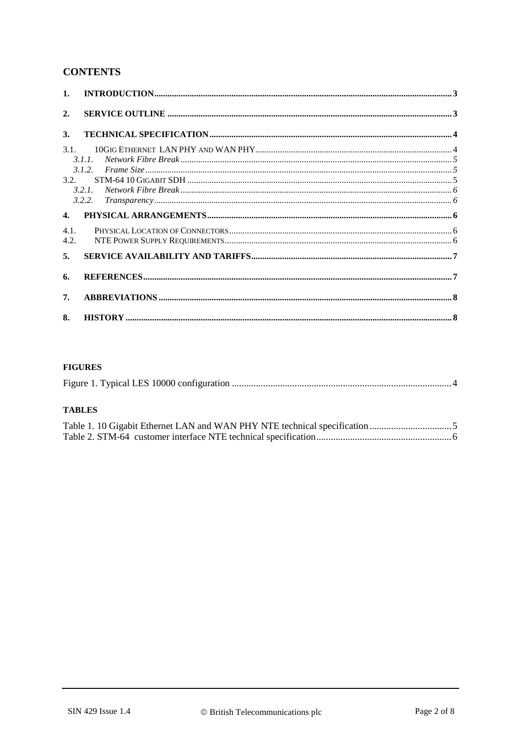## **CONTENTS**

| $\mathbf{1}$ .   |                                        |  |
|------------------|----------------------------------------|--|
| $\overline{2}$ . |                                        |  |
| 3.               |                                        |  |
| 3.1.             |                                        |  |
|                  | 3.1.1                                  |  |
|                  | 3.1.2.                                 |  |
| 3.2.             |                                        |  |
|                  | ${\it Network~Fibre~Break~}.$<br>3.2.1 |  |
|                  | 3.2.2.                                 |  |
| $\mathbf{4}$     |                                        |  |
| 4.1.             |                                        |  |
| 4.2.             |                                        |  |
| 5.               |                                        |  |
| 6.               |                                        |  |
| 7.               |                                        |  |
| 8.               |                                        |  |

#### **FIGURES**

|--|--|--|--|

#### **TABLES**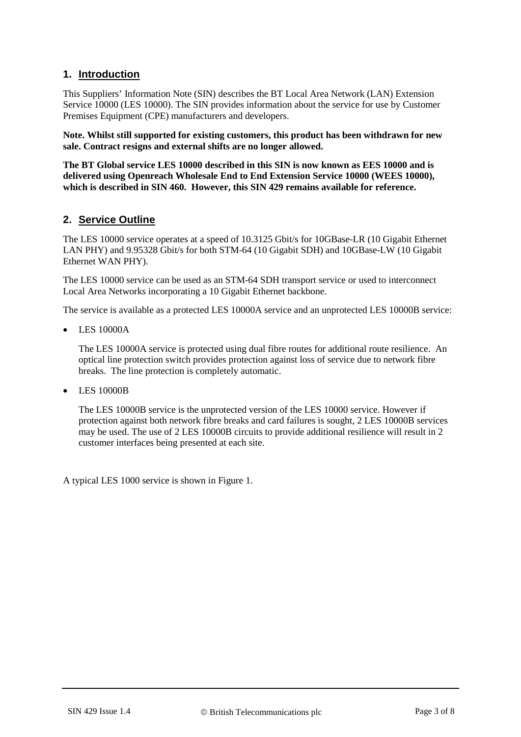#### **1. Introduction**

This Suppliers' Information Note (SIN) describes the BT Local Area Network (LAN) Extension Service 10000 (LES 10000). The SIN provides information about the service for use by Customer Premises Equipment (CPE) manufacturers and developers.

**Note. Whilst still supported for existing customers, this product has been withdrawn for new sale. Contract resigns and external shifts are no longer allowed.** 

**The BT Global service LES 10000 described in this SIN is now known as EES 10000 and is delivered using Openreach Wholesale End to End Extension Service 10000 (WEES 10000), which is described in SIN 460. However, this SIN 429 remains available for reference.**

#### **2. Service Outline**

The LES 10000 service operates at a speed of 10.3125 Gbit/s for 10GBase-LR (10 Gigabit Ethernet LAN PHY) and 9.95328 Gbit/s for both STM-64 (10 Gigabit SDH) and 10GBase-LW (10 Gigabit Ethernet WAN PHY).

The LES 10000 service can be used as an STM-64 SDH transport service or used to interconnect Local Area Networks incorporating a 10 Gigabit Ethernet backbone.

The service is available as a protected LES 10000A service and an unprotected LES 10000B service:

• LES 10000A

The LES 10000A service is protected using dual fibre routes for additional route resilience. An optical line protection switch provides protection against loss of service due to network fibre breaks. The line protection is completely automatic.

• LES 10000B

The LES 10000B service is the unprotected version of the LES 10000 service. However if protection against both network fibre breaks and card failures is sought, 2 LES 10000B services may be used. The use of 2 LES 10000B circuits to provide additional resilience will result in 2 customer interfaces being presented at each site.

A typical LES 1000 service is shown in [Figure 1.](#page-3-0)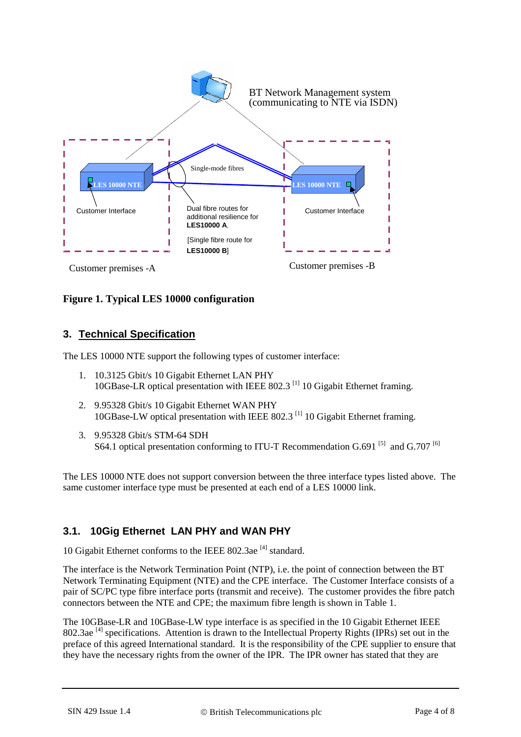

## <span id="page-3-0"></span>**Figure 1. Typical LES 10000 configuration**

#### **3. Technical Specification**

The LES 10000 NTE support the following types of customer interface:

- 1. 10.3125 Gbit/s 10 Gigabit Ethernet LAN PHY 10GBase-LR optical presentation with IEEE 802.3<sup>[1]</sup> 10 Gigabit Ethernet framing.
- 2. 9.95328 Gbit/s 10 Gigabit Ethernet WAN PHY 10GBase-LW optical presentation with IEEE 802.3<sup>[1]</sup> 10 Gigabit Ethernet framing.
- 3. 9.95328 Gbit/s STM-64 SDH S64.1 optical presentation conforming to ITU-T Recommendation G.691  $^{[5]}$  $^{[5]}$  $^{[5]}$  and G.707  $^{[6]}$  $^{[6]}$  $^{[6]}$

The LES 10000 NTE does not support conversion between the three interface types listed above. The same customer interface type must be presented at each end of a LES 10000 link.

# **3.1. 10Gig Ethernet LAN PHY and WAN PHY**

10 Gigabit Ethernet conforms to the IEEE 802.3ae<sup>[4]</sup> standard.

The interface is the Network Termination Point (NTP), i.e. the point of connection between the BT Network Terminating Equipment (NTE) and the CPE interface. The Customer Interface consists of a pair of SC/PC type fibre interface ports (transmit and receive). The customer provides the fibre patch connectors between the NTE and CPE; the maximum fibre length is shown in [Table 1.](#page-4-0)

The 10GBase-LR and 10GBase-LW type interface is as specified in the 10 Gigabit Ethernet IEEE 802.3ae<sup>[4]</sup> specifications. Attention is drawn to the Intellectual Property Rights (IPRs) set out in the preface of this agreed International standard. It is the responsibility of the CPE supplier to ensure that they have the necessary rights from the owner of the IPR. The IPR owner has stated that they are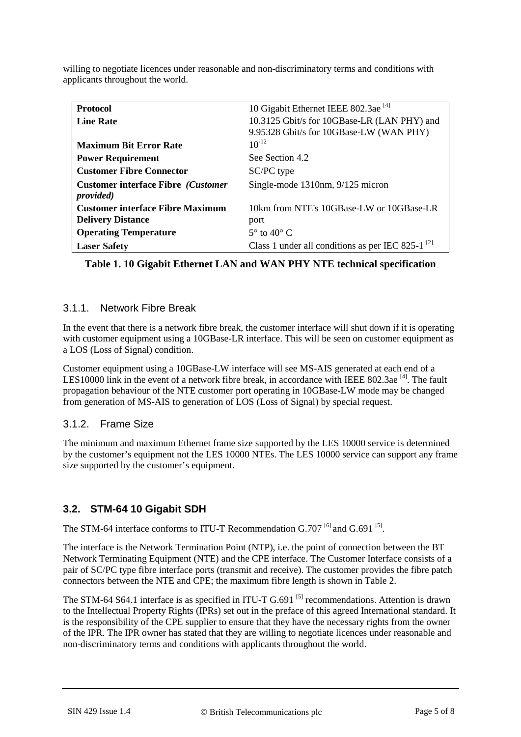| <b>Protocol</b>                            | 10 Gigabit Ethernet IEEE 802.3ae <sup>[4]</sup>        |
|--------------------------------------------|--------------------------------------------------------|
| <b>Line Rate</b>                           | 10.3125 Gbit/s for 10GBase-LR (LAN PHY) and            |
|                                            | 9.95328 Gbit/s for 10GBase-LW (WAN PHY)                |
| <b>Maximum Bit Error Rate</b>              | $10^{-12}$                                             |
| <b>Power Requirement</b>                   | See Section 4.2                                        |
| <b>Customer Fibre Connector</b>            | SC/PC type                                             |
| <b>Customer interface Fibre (Customer)</b> | Single-mode 1310nm, 9/125 micron                       |
| <i>provided</i> )                          |                                                        |
| <b>Customer interface Fibre Maximum</b>    | 10km from NTE's 10GBase-LW or 10GBase-LR               |
| <b>Delivery Distance</b>                   | port                                                   |
| <b>Operating Temperature</b>               | $5^\circ$ to $40^\circ$ C                              |
| <b>Laser Safety</b>                        | Class 1 under all conditions as per IEC 825-1 $^{[2]}$ |

willing to negotiate licences under reasonable and non-discriminatory terms and conditions with applicants throughout the world.

<span id="page-4-0"></span>**Table 1. 10 Gigabit Ethernet LAN and WAN PHY NTE technical specification**

#### 3.1.1. Network Fibre Break

In the event that there is a network fibre break, the customer interface will shut down if it is operating with customer equipment using a 10GBase-LR interface. This will be seen on customer equipment as a LOS (Loss of Signal) condition.

Customer equipment using a 10GBase-LW interface will see MS-AIS generated at each end of a LES10000 link in the event of a network fibre break, in accordance with IEEE 802.3ae<sup>[4]</sup>. The fault propagation behaviour of the NTE customer port operating in 10GBase-LW mode may be changed from generation of MS-AIS to generation of LOS (Loss of Signal) by special request.

#### 3.1.2. Frame Size

The minimum and maximum Ethernet frame size supported by the LES 10000 service is determined by the customer's equipment not the LES 10000 NTEs. The LES 10000 service can support any frame size supported by the customer's equipment.

# **3.2. STM-64 10 Gigabit SDH**

The STM-64 interface conforms to ITU-T Recommendation G.707  $^{[6]}$  and G.691  $^{[5]}$  $^{[5]}$  $^{[5]}$ .

The interface is the Network Termination Point (NTP), i.e. the point of connection between the BT Network Terminating Equipment (NTE) and the CPE interface. The Customer Interface consists of a pair of SC/PC type fibre interface ports (transmit and receive). The customer provides the fibre patch connectors between the NTE and CPE; the maximum fibre length is shown in [Table 2.](#page-5-0)

The STM-64 S64.1 interface is as specified in ITU-T G.691<sup>[\[5\]](#page-6-1)</sup> recommendations. Attention is drawn to the Intellectual Property Rights (IPRs) set out in the preface of this agreed International standard. It is the responsibility of the CPE supplier to ensure that they have the necessary rights from the owner of the IPR. The IPR owner has stated that they are willing to negotiate licences under reasonable and non-discriminatory terms and conditions with applicants throughout the world.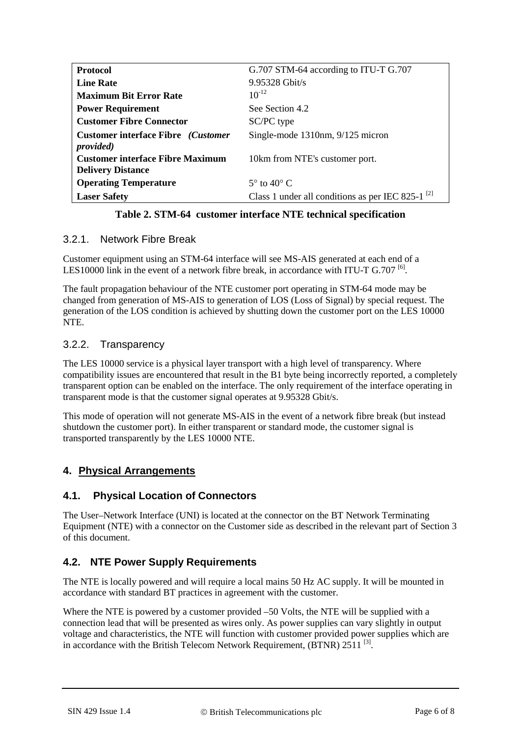| <b>Protocol</b>                                                        | G.707 STM-64 according to ITU-T G.707                  |
|------------------------------------------------------------------------|--------------------------------------------------------|
| <b>Line Rate</b>                                                       | $9.95328$ Ghit/s                                       |
| <b>Maximum Bit Error Rate</b>                                          | $10^{-12}$                                             |
| <b>Power Requirement</b>                                               | See Section 4.2                                        |
| <b>Customer Fibre Connector</b>                                        | SC/PC type                                             |
| <b>Customer interface Fibre</b> ( <i>Customer</i><br><i>provided</i> ) | Single-mode 1310nm, 9/125 micron                       |
| <b>Customer interface Fibre Maximum</b><br><b>Delivery Distance</b>    | 10km from NTE's customer port.                         |
| <b>Operating Temperature</b>                                           | $5^{\circ}$ to 40 $^{\circ}$ C                         |
| <b>Laser Safety</b>                                                    | Class 1 under all conditions as per IEC 825-1 $^{[2]}$ |

**Table 2. STM-64 customer interface NTE technical specification**

#### <span id="page-5-0"></span>3.2.1. Network Fibre Break

Customer equipment using an STM-64 interface will see MS-AIS generated at each end of a LES10000 link in the event of a network fibre break, in accordance with ITU-T G.707  $^{[6]}$  $^{[6]}$  $^{[6]}$ .

The fault propagation behaviour of the NTE customer port operating in STM-64 mode may be changed from generation of MS-AIS to generation of LOS (Loss of Signal) by special request. The generation of the LOS condition is achieved by shutting down the customer port on the LES 10000 **NTE** 

## 3.2.2. Transparency

The LES 10000 service is a physical layer transport with a high level of transparency. Where compatibility issues are encountered that result in the B1 byte being incorrectly reported, a completely transparent option can be enabled on the interface. The only requirement of the interface operating in transparent mode is that the customer signal operates at 9.95328 Gbit/s.

This mode of operation will not generate MS-AIS in the event of a network fibre break (but instead shutdown the customer port). In either transparent or standard mode, the customer signal is transported transparently by the LES 10000 NTE.

# **4. Physical Arrangements**

# **4.1. Physical Location of Connectors**

The User–Network Interface (UNI) is located at the connector on the BT Network Terminating Equipment (NTE) with a connector on the Customer side as described in the relevant part of Section 3 of this document.

# **4.2. NTE Power Supply Requirements**

The NTE is locally powered and will require a local mains 50 Hz AC supply. It will be mounted in accordance with standard BT practices in agreement with the customer.

Where the NTE is powered by a customer provided –50 Volts, the NTE will be supplied with a connection lead that will be presented as wires only. As power supplies can vary slightly in output voltage and characteristics, the NTE will function with customer provided power supplies which are in accordance with the British Telecom Network Requirement, (BTNR) 2511<sup>[\[3\]](#page-6-5)</sup>.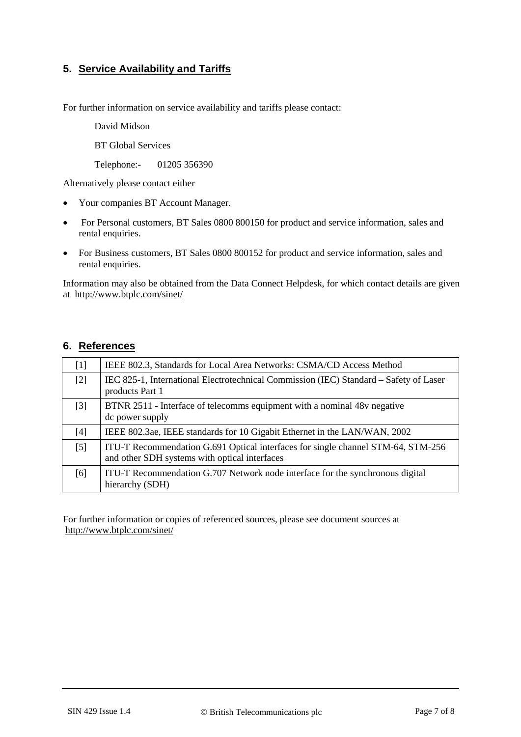# **5. Service Availability and Tariffs**

For further information on service availability and tariffs please contact:

David Midson

BT Global Services

Telephone:- 01205 356390

Alternatively please contact either

- Your companies BT Account Manager.
- For Personal customers, BT Sales 0800 800150 for product and service information, sales and rental enquiries.
- For Business customers, BT Sales 0800 800152 for product and service information, sales and rental enquiries.

Information may also be obtained from the Data Connect Helpdesk, for which contact details are given at <http://www.btplc.com/sinet/>

#### **6. References**

<span id="page-6-5"></span><span id="page-6-4"></span><span id="page-6-3"></span><span id="page-6-0"></span>

| $\lceil 1 \rceil$ | IEEE 802.3, Standards for Local Area Networks: CSMA/CD Access Method                                                              |
|-------------------|-----------------------------------------------------------------------------------------------------------------------------------|
| $[2]$             | IEC 825-1, International Electrotechnical Commission (IEC) Standard – Safety of Laser<br>products Part 1                          |
| $[3]$             | BTNR 2511 - Interface of telecomms equipment with a nominal 48v negative<br>dc power supply                                       |
| $[4]$             | IEEE 802.3ae, IEEE standards for 10 Gigabit Ethernet in the LAN/WAN, 2002                                                         |
| $\lceil 5 \rceil$ | ITU-T Recommendation G.691 Optical interfaces for single channel STM-64, STM-256<br>and other SDH systems with optical interfaces |
| [6]               | ITU-T Recommendation G.707 Network node interface for the synchronous digital<br>hierarchy (SDH)                                  |

<span id="page-6-2"></span><span id="page-6-1"></span>For further information or copies of referenced sources, please see document sources at <http://www.btplc.com/sinet/>